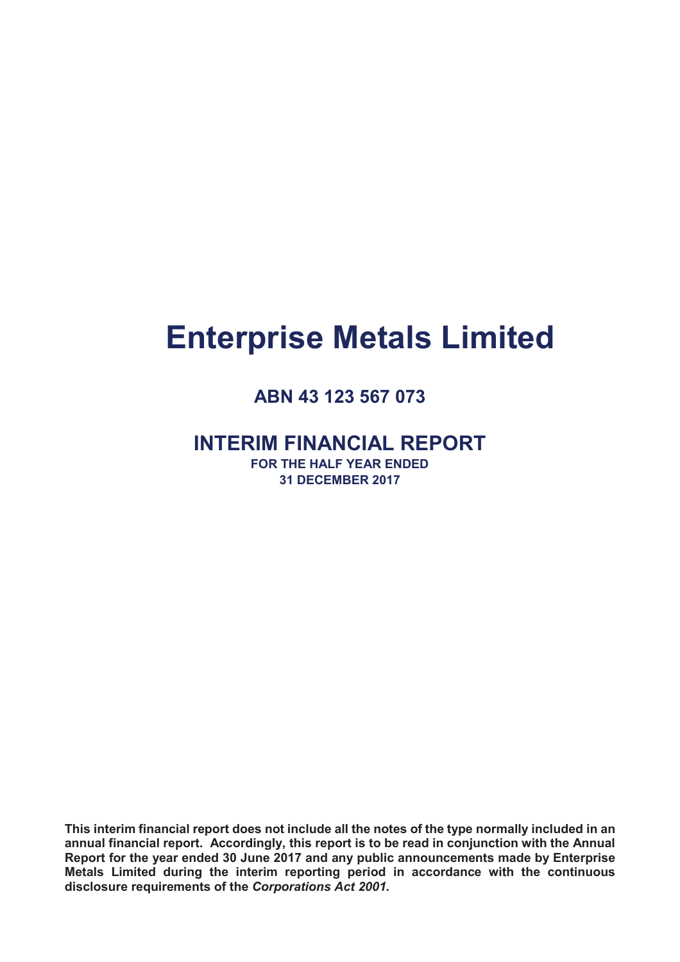# **Enterprise Metals Limited**

# **ABN 43 123 567 073**

# **INTERIM FINANCIAL REPORT**

**FOR THE HALF YEAR ENDED 31 DECEMBER 2017**

**This interim financial report does not include all the notes of the type normally included in an annual financial report. Accordingly, this report is to be read in conjunction with the Annual Report for the year ended 30 June 2017 and any public announcements made by Enterprise Metals Limited during the interim reporting period in accordance with the continuous disclosure requirements of the** *Corporations Act 2001***.**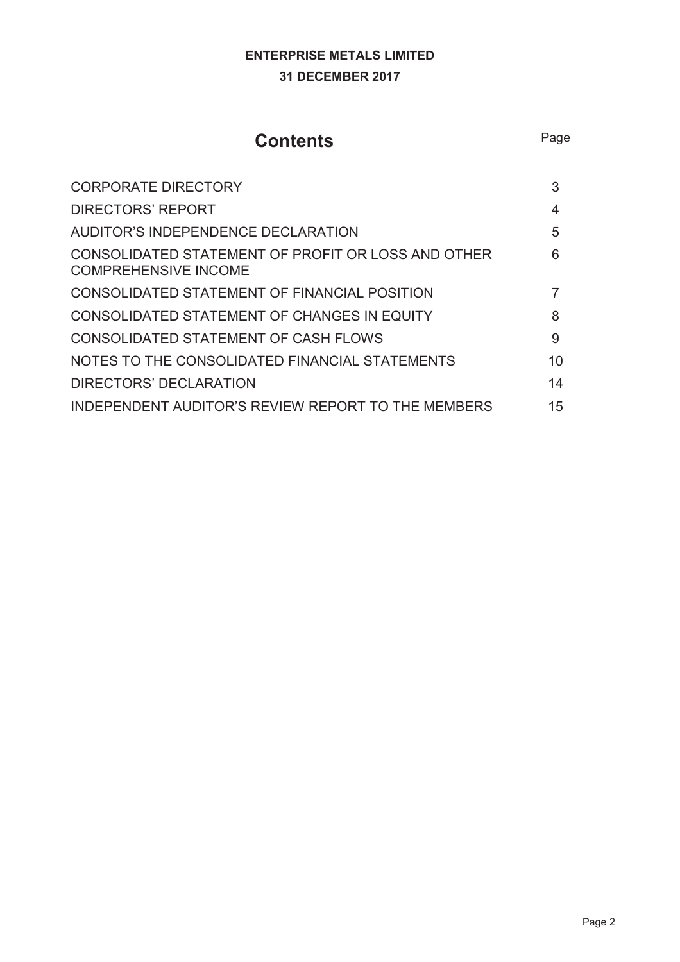# **ENTERPRISE METALS LIMITED 31 DECEMBER 2017**

# **Contents** Page

| <b>CORPORATE DIRECTORY</b>                                                        | 3  |
|-----------------------------------------------------------------------------------|----|
| <b>DIRECTORS' REPORT</b>                                                          | 4  |
| AUDITOR'S INDEPENDENCE DECLARATION                                                | 5  |
| CONSOLIDATED STATEMENT OF PROFIT OR LOSS AND OTHER<br><b>COMPREHENSIVE INCOME</b> | 6  |
| CONSOLIDATED STATEMENT OF FINANCIAL POSITION                                      | 7  |
| CONSOLIDATED STATEMENT OF CHANGES IN EQUITY                                       | 8  |
| <b>CONSOLIDATED STATEMENT OF CASH FLOWS</b>                                       | 9  |
| NOTES TO THE CONSOLIDATED FINANCIAL STATEMENTS                                    | 10 |
| DIRECTORS' DECLARATION                                                            | 14 |
| INDEPENDENT AUDITOR'S REVIEW REPORT TO THE MEMBERS                                | 15 |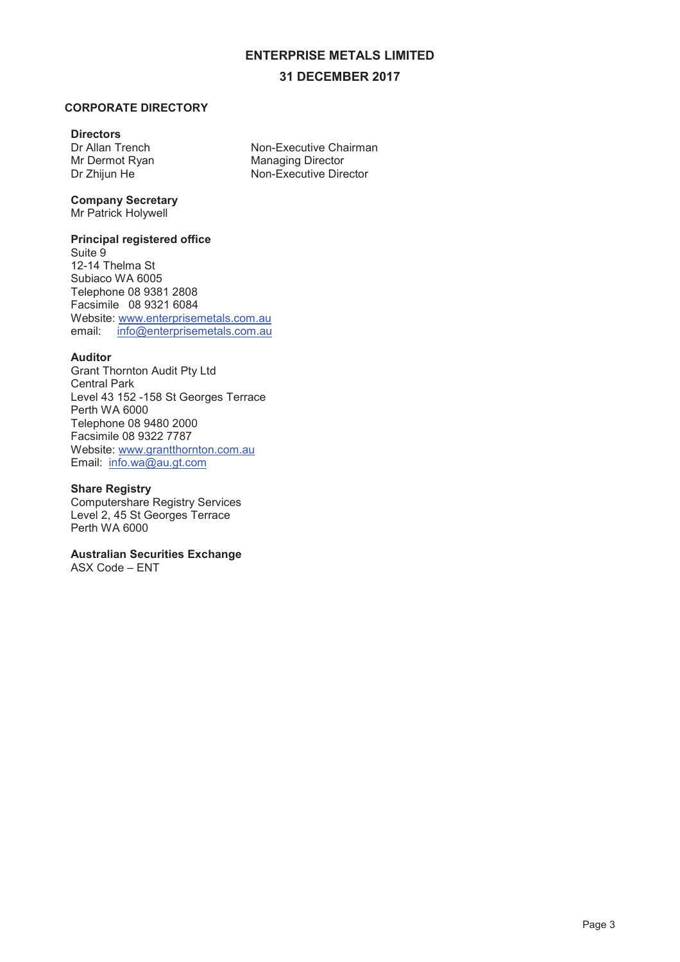#### **31 DECEMBER 2017**

#### **CORPORATE DIRECTORY**

#### **Directors**

Dr Allan Trench Mr Dermot Ryan Dr Zhijun He

Non-Executive Chairman Managing Director Non-Executive Director

# **Company Secretary**

Mr Patrick Holywell

#### **Principal registered office**

Suite 9 12-14 Thelma St Subiaco WA 6005 Telephone 08 9381 2808 Facsimile 08 9321 6084 Website: www.enterprisemetals.com.au email: info@enterprisemetals.com.au

#### **Auditor**

Grant Thornton Audit Pty Ltd Central Park Level 43 152 -158 St Georges Terrace Perth WA 6000 Telephone 08 9480 2000 Facsimile 08 9322 7787 Website: www.grantthornton.com.au Email: info.wa@au.gt.com

#### **Share Registry**

Computershare Registry Services Level 2, 45 St Georges Terrace Perth WA 6000

#### **Australian Securities Exchange**

ASX Code – ENT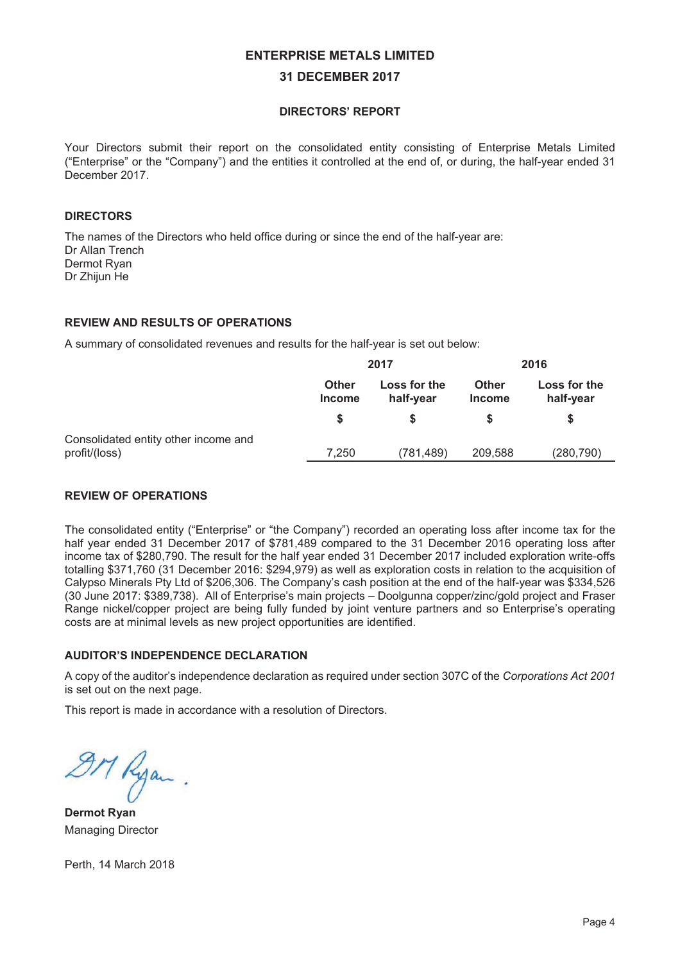#### **31 DECEMBER 2017**

#### **DIRECTORS' REPORT**

Your Directors submit their report on the consolidated entity consisting of Enterprise Metals Limited ("Enterprise" or the "Company") and the entities it controlled at the end of, or during, the half-year ended 31 December 2017

#### DIRECTORS

The names of the Directors who held office during or since the end of the half-year are: Dr Allan Trench Dermot Rvan Dr Zhijun He

#### **REVIEW AND RESULTS OF OPERATIONS**

A summary of consolidated revenues and results for the half-year is set out below:

|                                                       | 2017                                                       |           | 2016                          |                           |
|-------------------------------------------------------|------------------------------------------------------------|-----------|-------------------------------|---------------------------|
|                                                       | Loss for the<br><b>Other</b><br>half-year<br><b>Income</b> |           | <b>Other</b><br><b>Income</b> | Loss for the<br>half-year |
|                                                       |                                                            |           |                               |                           |
| Consolidated entity other income and<br>profit/(loss) | 7,250                                                      | (781,489) | 209,588                       | (280, 790)                |

#### **REVIEW OF OPERATIONS**

The consolidated entity ("Enterprise" or "the Company") recorded an operating loss after income tax for the half year ended 31 December 2017 of \$781,489 compared to the 31 December 2016 operating loss after income tax of \$280,790. The result for the half year ended 31 December 2017 included exploration write-offs totalling \$371,760 (31 December 2016: \$294,979) as well as exploration costs in relation to the acquisition of Calypso Minerals Pty Ltd of \$206,306. The Company's cash position at the end of the half-year was \$334,526 (30 June 2017: \$389,738). All of Enterprise's main projects – Doolgunna copper/zinc/gold project and Fraser Range nickel/copper project are being fully funded by joint venture partners and so Enterprise's operating costs are at minimal levels as new project opportunities are identified.

#### **AUDITOR'S INDEPENDENCE DECLARATION**

A copy of the auditor's independence declaration as required under section 307C of the Corporations Act 2001 is set out on the next page.

This report is made in accordance with a resolution of Directors.

 $\mathcal{H}$ Kyan.

Managing Director

Perth, 14 March 2018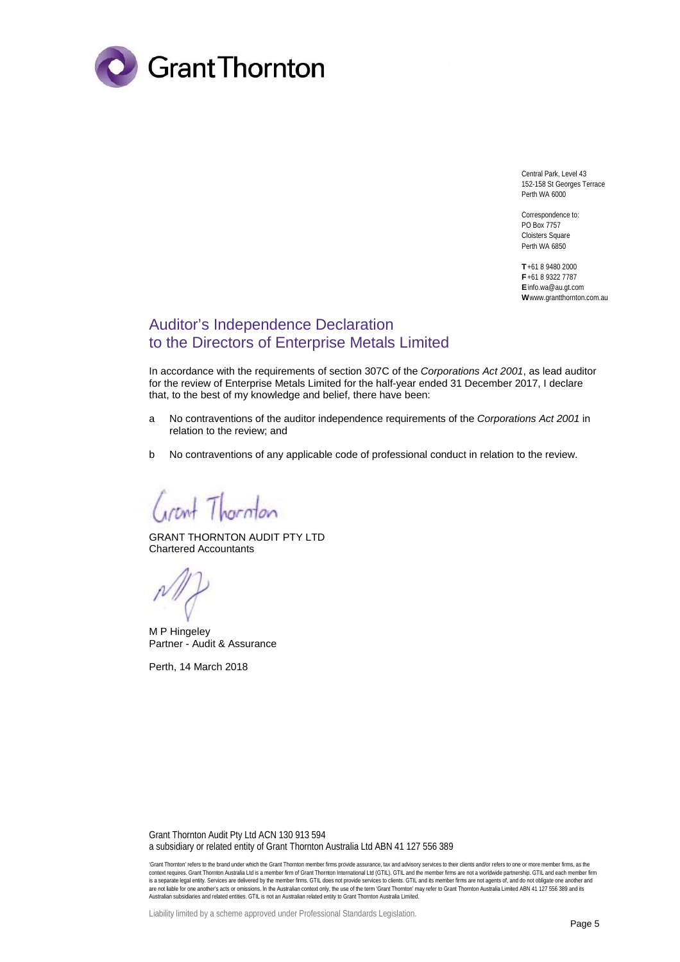

Central Park, Level 43 152-158 St Georges Terrace Perth WA 6000

Correspondence to: PO Box 7757 Cloisters Square Perth WA 6850

**T** +61 8 9480 2000 **F** +61 8 9322 7787 **E** info.wa@au.gt.com **W** www.grantthornton.com.au

## Auditor's Independence Declaration to the Directors of Enterprise Metals Limited

In accordance with the requirements of section 307C of the *Corporations Act 2001*, as lead auditor for the review of Enterprise Metals Limited for the half-year ended 31 December 2017, I declare that, to the best of my knowledge and belief, there have been:

- a No contraventions of the auditor independence requirements of the *Corporations Act 2001* in relation to the review; and
- b No contraventions of any applicable code of professional conduct in relation to the review.

Circut Thornton

GRANT THORNTON AUDIT PTY LTD Chartered Accountants

M P Hingeley Partner - Audit & Assurance

Perth, 14 March 2018

Grant Thornton Audit Pty Ltd ACN 130 913 594 a subsidiary or related entity of Grant Thornton Australia Ltd ABN 41 127 556 389

'Grant Thornton' refers to the brand under which the Grant Thornton member firms provide assurance, tax and advisory services to their clients and/or refers to one or more member firms, as the<br>context requires. Grant Thorn is a separate legal entity. Services are delivered by the member firms. GTL does not provide services to clients. GTLL and its member firms are not agents of, and do not obligate one another and<br>are not liable for one anot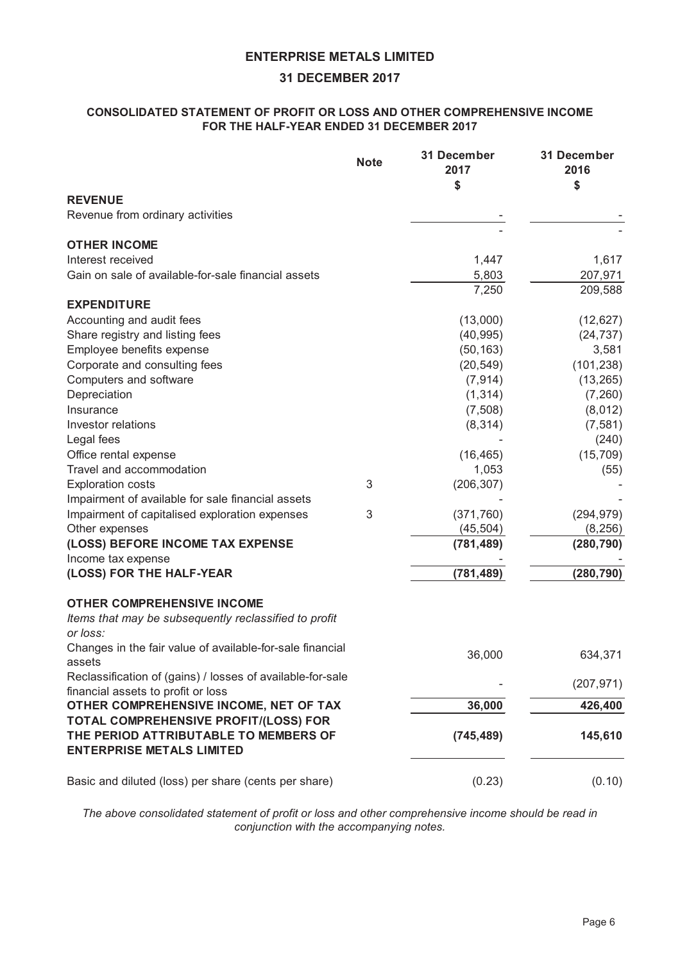#### **31 DECEMBER 2017**

#### **CONSOLIDATED STATEMENT OF PROFIT OR LOSS AND OTHER COMPREHENSIVE INCOME FOR THE HALF-YEAR ENDED 31 DECEMBER 2017**

|                                                                     | <b>Note</b> | 31 December<br>2017 | 31 December<br>2016 |
|---------------------------------------------------------------------|-------------|---------------------|---------------------|
| <b>REVENUE</b>                                                      |             | \$                  | \$                  |
| Revenue from ordinary activities                                    |             |                     |                     |
|                                                                     |             |                     |                     |
| <b>OTHER INCOME</b>                                                 |             |                     |                     |
| Interest received                                                   |             | 1,447               | 1,617               |
| Gain on sale of available-for-sale financial assets                 |             | 5,803               | 207,971             |
|                                                                     |             | 7,250               | 209,588             |
| <b>EXPENDITURE</b>                                                  |             |                     |                     |
| Accounting and audit fees                                           |             | (13,000)            | (12, 627)           |
| Share registry and listing fees                                     |             | (40, 995)           | (24, 737)           |
| Employee benefits expense                                           |             | (50, 163)           | 3,581               |
| Corporate and consulting fees                                       |             | (20, 549)           | (101, 238)          |
| Computers and software                                              |             | (7, 914)            | (13, 265)           |
| Depreciation                                                        |             | (1, 314)            | (7, 260)            |
| Insurance                                                           |             | (7,508)             | (8,012)             |
| Investor relations                                                  |             | (8, 314)            | (7, 581)            |
| Legal fees                                                          |             |                     | (240)               |
| Office rental expense                                               |             | (16, 465)           | (15, 709)           |
| Travel and accommodation                                            |             | 1,053               | (55)                |
| <b>Exploration costs</b>                                            | 3           | (206, 307)          |                     |
| Impairment of available for sale financial assets                   |             |                     |                     |
| Impairment of capitalised exploration expenses                      | 3           | (371, 760)          | (294, 979)          |
| Other expenses                                                      |             | (45, 504)           | (8, 256)            |
| (LOSS) BEFORE INCOME TAX EXPENSE                                    |             | (781, 489)          | (280, 790)          |
| Income tax expense                                                  |             |                     |                     |
| (LOSS) FOR THE HALF-YEAR                                            |             | (781, 489)          | (280, 790)          |
| <b>OTHER COMPREHENSIVE INCOME</b>                                   |             |                     |                     |
| Items that may be subsequently reclassified to profit               |             |                     |                     |
| or loss:                                                            |             |                     |                     |
| Changes in the fair value of available-for-sale financial<br>assets |             | 36,000              | 634,371             |
| Reclassification of (gains) / losses of available-for-sale          |             |                     | (207, 971)          |
| financial assets to profit or loss                                  |             |                     |                     |
| OTHER COMPREHENSIVE INCOME, NET OF TAX                              |             | 36,000              | 426,400             |
| TOTAL COMPREHENSIVE PROFIT/(LOSS) FOR                               |             |                     |                     |
| THE PERIOD ATTRIBUTABLE TO MEMBERS OF                               |             | (745, 489)          | 145,610             |
| <b>ENTERPRISE METALS LIMITED</b>                                    |             |                     |                     |
| Basic and diluted (loss) per share (cents per share)                |             | (0.23)              | (0.10)              |

*The above consolidated statement of profit or loss and other comprehensive income should be read in conjunction with the accompanying notes.*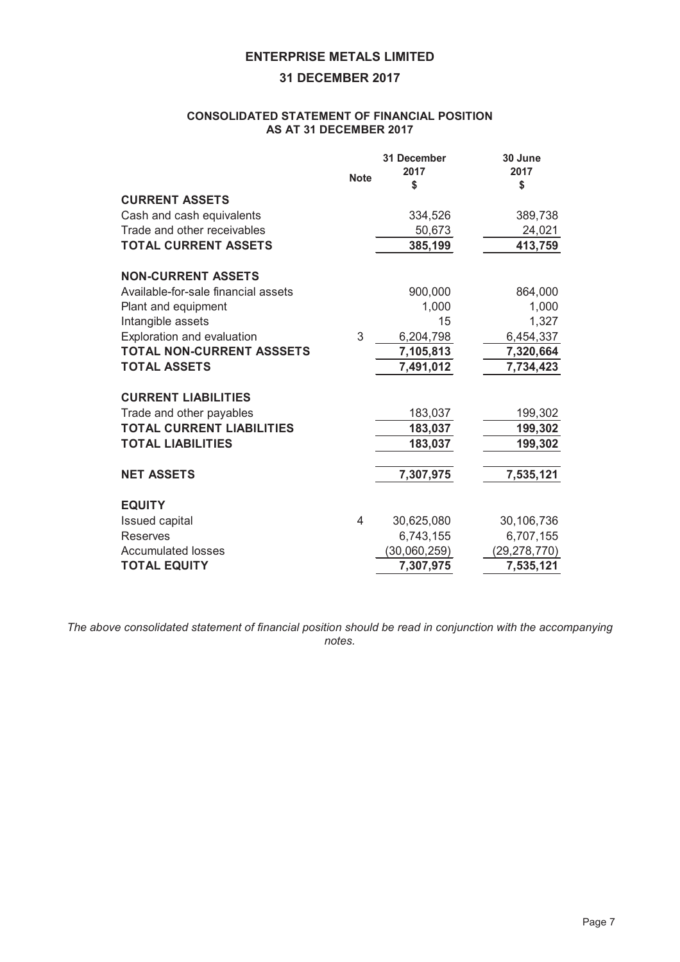#### **31 DECEMBER 2017**

#### **CONSOLIDATED STATEMENT OF FINANCIAL POSITION AS AT 31 DECEMBER 2017**

|                                     | <b>Note</b> | 31 December<br>2017<br>\$ | 30 June<br>2017<br>\$ |
|-------------------------------------|-------------|---------------------------|-----------------------|
| <b>CURRENT ASSETS</b>               |             |                           |                       |
| Cash and cash equivalents           |             | 334,526                   | 389,738               |
| Trade and other receivables         |             | 50,673                    | 24,021                |
| <b>TOTAL CURRENT ASSETS</b>         |             | 385,199                   | 413,759               |
| <b>NON-CURRENT ASSETS</b>           |             |                           |                       |
| Available-for-sale financial assets |             | 900,000                   | 864,000               |
| Plant and equipment                 |             | 1,000                     | 1,000                 |
| Intangible assets                   |             | 15                        | 1,327                 |
| Exploration and evaluation          | 3           | 6,204,798                 | 6,454,337             |
| TOTAL NON-CURRENT ASSSETS           |             | 7,105,813                 | 7,320,664             |
| <b>TOTAL ASSETS</b>                 |             | 7,491,012                 | 7,734,423             |
| <b>CURRENT LIABILITIES</b>          |             |                           |                       |
| Trade and other payables            |             | 183,037                   | 199,302               |
| <b>TOTAL CURRENT LIABILITIES</b>    |             | 183,037                   | 199,302               |
| <b>TOTAL LIABILITIES</b>            |             | 183,037                   | 199,302               |
|                                     |             |                           |                       |
| <b>NET ASSETS</b>                   |             | 7,307,975                 | 7,535,121             |
| <b>EQUITY</b>                       |             |                           |                       |
| <b>Issued capital</b>               | 4           | 30,625,080                | 30,106,736            |
| <b>Reserves</b>                     |             | 6,743,155                 | 6,707,155             |
| <b>Accumulated losses</b>           |             | (30,060,259)              | (29, 278, 770)        |
| <b>TOTAL EQUITY</b>                 |             | 7,307,975                 | 7,535,121             |

*The above consolidated statement of financial position should be read in conjunction with the accompanying notes.*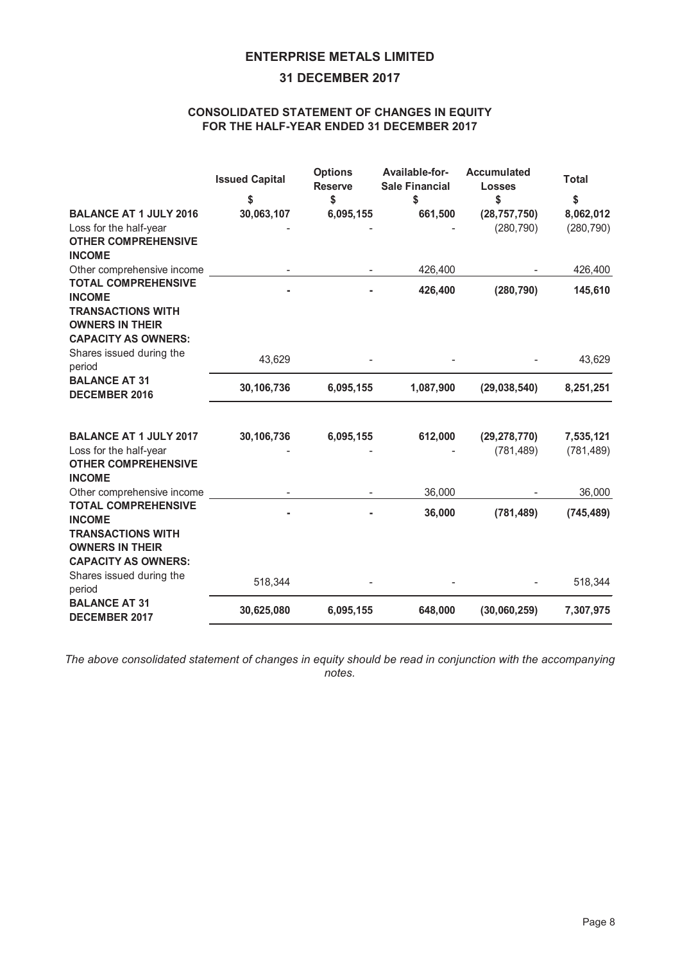#### **31 DECEMBER 2017**

#### **CONSOLIDATED STATEMENT OF CHANGES IN EQUITY FOR THE HALF-YEAR ENDED 31 DECEMBER 2017**

|                                                                                  | <b>Issued Capital</b> | <b>Options</b><br><b>Reserve</b> | Available-for-<br><b>Sale Financial</b> | <b>Accumulated</b><br><b>Losses</b> | <b>Total</b> |
|----------------------------------------------------------------------------------|-----------------------|----------------------------------|-----------------------------------------|-------------------------------------|--------------|
|                                                                                  | \$                    | \$                               | \$                                      | \$                                  | \$           |
| <b>BALANCE AT 1 JULY 2016</b>                                                    | 30,063,107            | 6,095,155                        | 661,500                                 | (28, 757, 750)                      | 8,062,012    |
| Loss for the half-year<br><b>OTHER COMPREHENSIVE</b><br><b>INCOME</b>            |                       |                                  |                                         | (280, 790)                          | (280, 790)   |
| Other comprehensive income                                                       |                       |                                  | 426,400                                 |                                     | 426,400      |
| <b>TOTAL COMPREHENSIVE</b><br><b>INCOME</b><br><b>TRANSACTIONS WITH</b>          |                       |                                  | 426,400                                 | (280, 790)                          | 145,610      |
| <b>OWNERS IN THEIR</b><br><b>CAPACITY AS OWNERS:</b><br>Shares issued during the |                       |                                  |                                         |                                     |              |
| period                                                                           | 43,629                |                                  |                                         |                                     | 43,629       |
| <b>BALANCE AT 31</b><br><b>DECEMBER 2016</b>                                     | 30,106,736            | 6,095,155                        | 1,087,900                               | (29, 038, 540)                      | 8,251,251    |
| <b>BALANCE AT 1 JULY 2017</b>                                                    | 30,106,736            | 6,095,155                        | 612,000                                 | (29, 278, 770)                      | 7,535,121    |
| Loss for the half-year<br><b>OTHER COMPREHENSIVE</b><br><b>INCOME</b>            |                       |                                  |                                         | (781, 489)                          | (781, 489)   |
| Other comprehensive income                                                       |                       |                                  | 36,000                                  |                                     | 36,000       |
| <b>TOTAL COMPREHENSIVE</b><br><b>INCOME</b>                                      |                       |                                  | 36,000                                  | (781, 489)                          | (745, 489)   |
| <b>TRANSACTIONS WITH</b><br><b>OWNERS IN THEIR</b><br><b>CAPACITY AS OWNERS:</b> |                       |                                  |                                         |                                     |              |
| Shares issued during the<br>period                                               | 518,344               |                                  |                                         |                                     | 518,344      |
| <b>BALANCE AT 31</b><br><b>DECEMBER 2017</b>                                     | 30,625,080            | 6,095,155                        | 648,000                                 | (30,060,259)                        | 7,307,975    |

*The above consolidated statement of changes in equity should be read in conjunction with the accompanying notes.*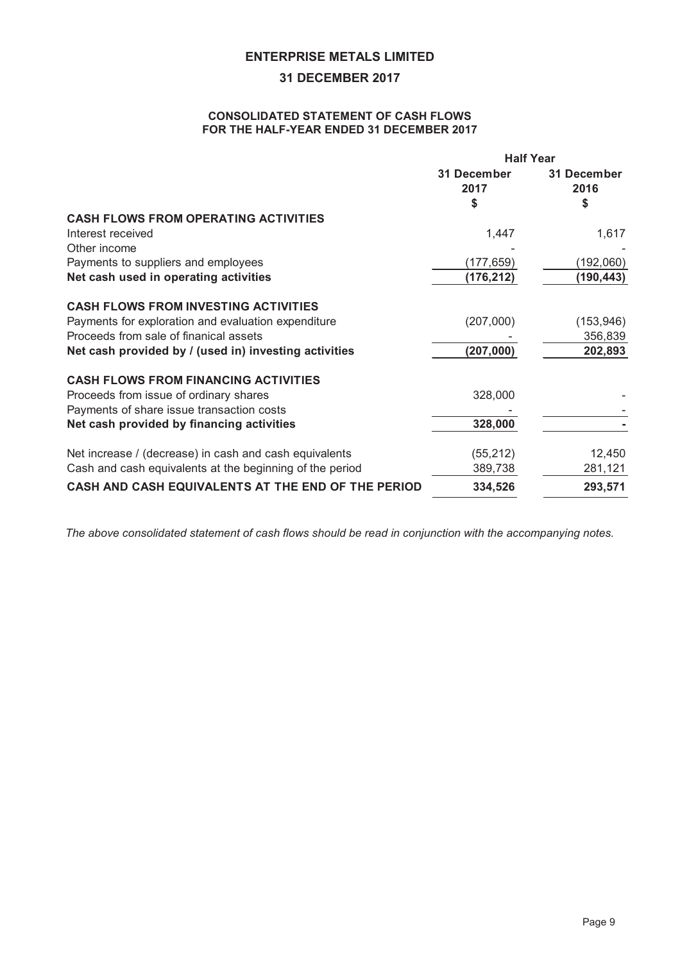#### **31 DECEMBER 2017**

#### **CONSOLIDATED STATEMENT OF CASH FLOWS FOR THE HALF-YEAR ENDED 31 DECEMBER 2017**

|                                                          | <b>Half Year</b>    |                     |  |
|----------------------------------------------------------|---------------------|---------------------|--|
|                                                          | 31 December<br>2017 | 31 December<br>2016 |  |
|                                                          | \$                  | \$                  |  |
| <b>CASH FLOWS FROM OPERATING ACTIVITIES</b>              |                     |                     |  |
| Interest received                                        | 1,447               | 1,617               |  |
| Other income                                             |                     |                     |  |
| Payments to suppliers and employees                      | (177, 659)          | (192,060)           |  |
| Net cash used in operating activities                    | (176, 212)          | (190, 443)          |  |
| <b>CASH FLOWS FROM INVESTING ACTIVITIES</b>              |                     |                     |  |
| Payments for exploration and evaluation expenditure      | (207,000)           | (153, 946)          |  |
| Proceeds from sale of finanical assets                   |                     | 356,839             |  |
| Net cash provided by / (used in) investing activities    | (207, 000)          | 202,893             |  |
| <b>CASH FLOWS FROM FINANCING ACTIVITIES</b>              |                     |                     |  |
| Proceeds from issue of ordinary shares                   | 328,000             |                     |  |
| Payments of share issue transaction costs                |                     |                     |  |
| Net cash provided by financing activities                | 328,000             |                     |  |
| Net increase / (decrease) in cash and cash equivalents   | (55, 212)           | 12,450              |  |
| Cash and cash equivalents at the beginning of the period | 389,738             | 281,121             |  |
| CASH AND CASH EQUIVALENTS AT THE END OF THE PERIOD       | 334,526             | 293,571             |  |

*The above consolidated statement of cash flows should be read in conjunction with the accompanying notes.*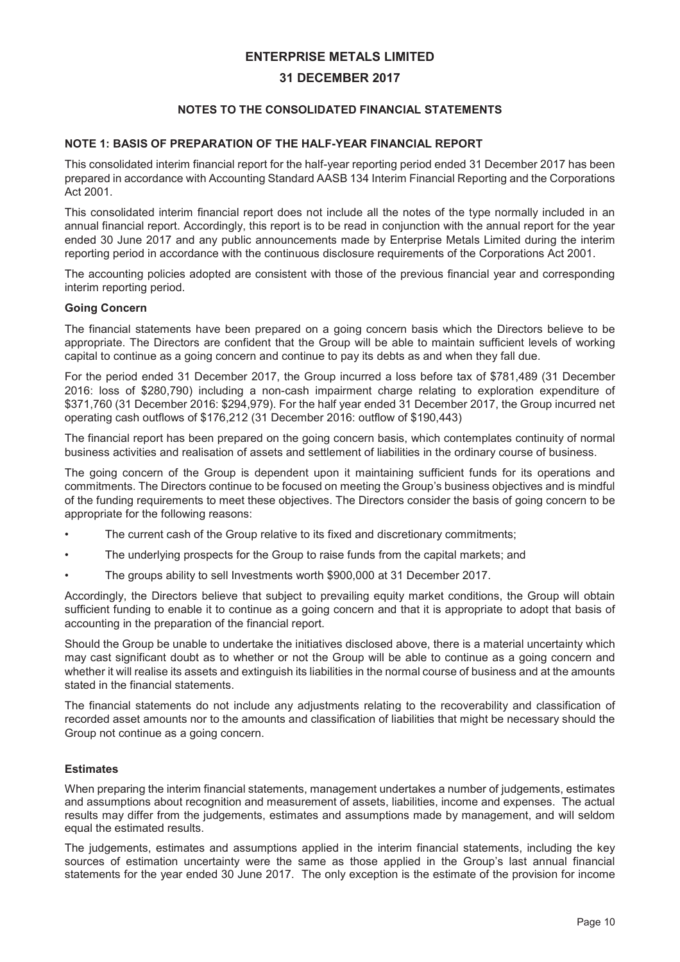#### **31 DECEMBER 2017**

#### **NOTES TO THE CONSOLIDATED FINANCIAL STATEMENTS**

#### **NOTE 1: BASIS OF PREPARATION OF THE HALF-YEAR FINANCIAL REPORT**

This consolidated interim financial report for the half-year reporting period ended 31 December 2017 has been prepared in accordance with Accounting Standard AASB 134 Interim Financial Reporting and the Corporations Act 2001.

This consolidated interim financial report does not include all the notes of the type normally included in an annual financial report. Accordingly, this report is to be read in conjunction with the annual report for the year ended 30 June 2017 and any public announcements made by Enterprise Metals Limited during the interim reporting period in accordance with the continuous disclosure requirements of the Corporations Act 2001.

The accounting policies adopted are consistent with those of the previous financial year and corresponding interim reporting period.

#### **Going Concern**

The financial statements have been prepared on a going concern basis which the Directors believe to be appropriate. The Directors are confident that the Group will be able to maintain sufficient levels of working capital to continue as a going concern and continue to pay its debts as and when they fall due.

For the period ended 31 December 2017, the Group incurred a loss before tax of \$781,489 (31 December 2016: loss of \$280,790) including a non-cash impairment charge relating to exploration expenditure of \$371,760 (31 December 2016: \$294,979). For the half year ended 31 December 2017, the Group incurred net operating cash outflows of \$176,212 (31 December 2016: outflow of \$190,443)

The financial report has been prepared on the going concern basis, which contemplates continuity of normal business activities and realisation of assets and settlement of liabilities in the ordinary course of business.

The going concern of the Group is dependent upon it maintaining sufficient funds for its operations and commitments. The Directors continue to be focused on meeting the Group's business objectives and is mindful of the funding requirements to meet these objectives. The Directors consider the basis of going concern to be appropriate for the following reasons:

- The current cash of the Group relative to its fixed and discretionary commitments;
- The underlying prospects for the Group to raise funds from the capital markets; and
- The groups ability to sell Investments worth \$900,000 at 31 December 2017.

Accordingly, the Directors believe that subject to prevailing equity market conditions, the Group will obtain sufficient funding to enable it to continue as a going concern and that it is appropriate to adopt that basis of accounting in the preparation of the financial report.

Should the Group be unable to undertake the initiatives disclosed above, there is a material uncertainty which may cast significant doubt as to whether or not the Group will be able to continue as a going concern and whether it will realise its assets and extinguish its liabilities in the normal course of business and at the amounts stated in the financial statements.

The financial statements do not include any adjustments relating to the recoverability and classification of recorded asset amounts nor to the amounts and classification of liabilities that might be necessary should the Group not continue as a going concern.

#### **Estimates**

When preparing the interim financial statements, management undertakes a number of judgements, estimates and assumptions about recognition and measurement of assets, liabilities, income and expenses. The actual results may differ from the judgements, estimates and assumptions made by management, and will seldom equal the estimated results.

The judgements, estimates and assumptions applied in the interim financial statements, including the key sources of estimation uncertainty were the same as those applied in the Group's last annual financial statements for the year ended 30 June 2017. The only exception is the estimate of the provision for income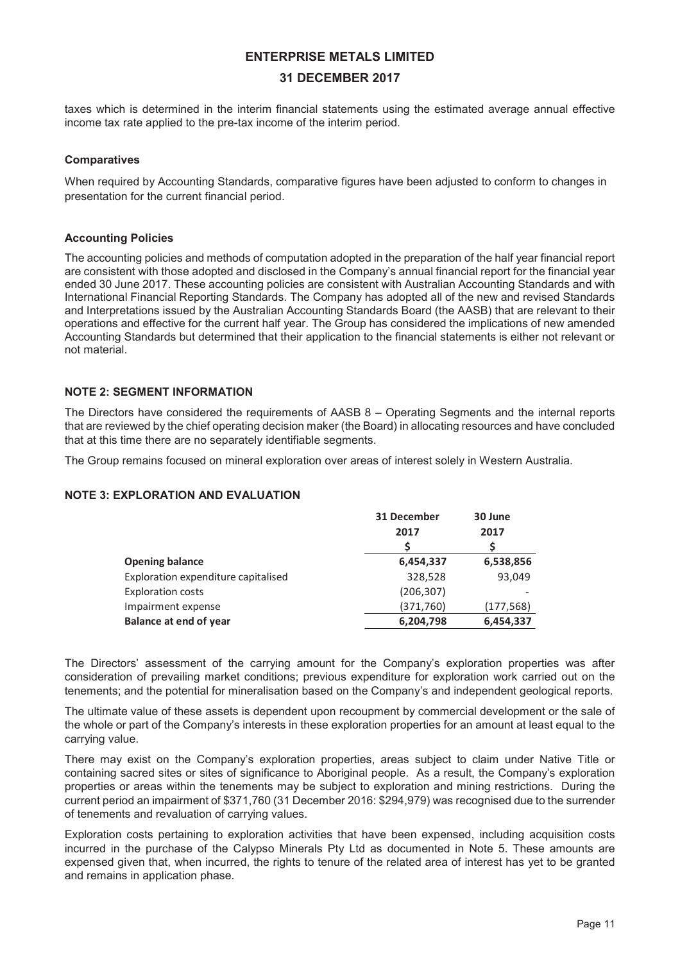#### **31 DECEMBER 2017**

taxes which is determined in the interim financial statements using the estimated average annual effective income tax rate applied to the pre-tax income of the interim period.

#### **Comparatives**

When required by Accounting Standards, comparative figures have been adjusted to conform to changes in presentation for the current financial period.

#### **Accounting Policies**

The accounting policies and methods of computation adopted in the preparation of the half year financial report are consistent with those adopted and disclosed in the Company's annual financial report for the financial year ended 30 June 2017. These accounting policies are consistent with Australian Accounting Standards and with International Financial Reporting Standards. The Company has adopted all of the new and revised Standards and Interpretations issued by the Australian Accounting Standards Board (the AASB) that are relevant to their operations and effective for the current half year. The Group has considered the implications of new amended Accounting Standards but determined that their application to the financial statements is either not relevant or not material.

#### **NOTE 2: SEGMENT INFORMATION**

The Directors have considered the requirements of AASB 8 – Operating Segments and the internal reports that are reviewed by the chief operating decision maker (the Board) in allocating resources and have concluded that at this time there are no separately identifiable segments.

The Group remains focused on mineral exploration over areas of interest solely in Western Australia.

#### **NOTE 3: EXPLORATION AND EVALUATION**

|                                     | 31 December | 30 June    |
|-------------------------------------|-------------|------------|
|                                     | 2017        | 2017       |
|                                     | S           |            |
| <b>Opening balance</b>              | 6,454,337   | 6,538,856  |
| Exploration expenditure capitalised | 328,528     | 93,049     |
| <b>Exploration costs</b>            | (206, 307)  |            |
| Impairment expense                  | (371,760)   | (177, 568) |
| <b>Balance at end of year</b>       | 6,204,798   | 6,454,337  |

The Directors' assessment of the carrying amount for the Company's exploration properties was after consideration of prevailing market conditions; previous expenditure for exploration work carried out on the tenements; and the potential for mineralisation based on the Company's and independent geological reports.

The ultimate value of these assets is dependent upon recoupment by commercial development or the sale of the whole or part of the Company's interests in these exploration properties for an amount at least equal to the carrying value.

There may exist on the Company's exploration properties, areas subject to claim under Native Title or containing sacred sites or sites of significance to Aboriginal people. As a result, the Company's exploration properties or areas within the tenements may be subject to exploration and mining restrictions. During the current period an impairment of \$371,760 (31 December 2016: \$294,979) was recognised due to the surrender of tenements and revaluation of carrying values.

Exploration costs pertaining to exploration activities that have been expensed, including acquisition costs incurred in the purchase of the Calypso Minerals Pty Ltd as documented in Note 5. These amounts are expensed given that, when incurred, the rights to tenure of the related area of interest has yet to be granted and remains in application phase.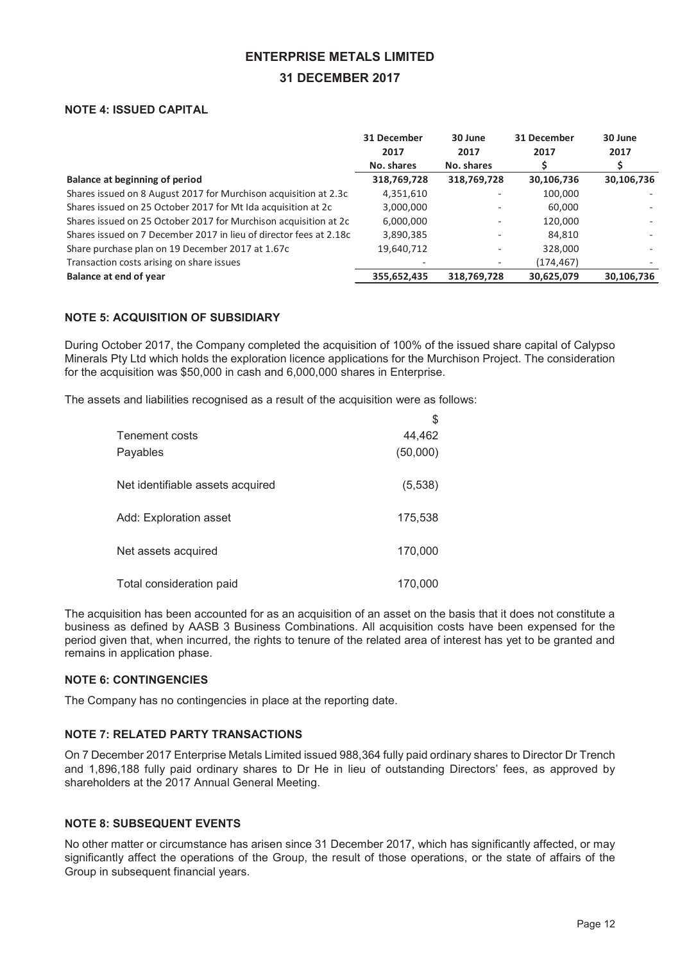#### **31 DECEMBER 2017**

#### **NOTE 4: ISSUED CAPITAL**

| 31 December<br>2017 | 30 June<br>2017 | 31 December<br>2017 | 30 June<br>2017 |
|---------------------|-----------------|---------------------|-----------------|
| No. shares          | No. shares      |                     | S               |
| 318,769,728         | 318,769,728     | 30,106,736          | 30,106,736      |
| 4,351,610           |                 | 100,000             |                 |
| 3,000,000           |                 | 60,000              |                 |
| 6,000,000           |                 | 120,000             |                 |
| 3,890,385           |                 | 84,810              |                 |
| 19,640,712          |                 | 328,000             |                 |
|                     |                 | (174, 467)          |                 |
| 355,652,435         | 318,769,728     | 30,625,079          | 30,106,736      |
|                     |                 |                     |                 |

#### **NOTE 5: ACQUISITION OF SUBSIDIARY**

During October 2017, the Company completed the acquisition of 100% of the issued share capital of Calypso Minerals Pty Ltd which holds the exploration licence applications for the Murchison Project. The consideration for the acquisition was \$50,000 in cash and 6,000,000 shares in Enterprise.

 $\ddot{\sigma}$ 

The assets and liabilities recognised as a result of the acquisition were as follows:

|                                  | ັ        |
|----------------------------------|----------|
| Tenement costs                   | 44,462   |
| Payables                         | (50,000) |
| Net identifiable assets acquired | (5,538)  |
| Add: Exploration asset           | 175,538  |
| Net assets acquired              | 170,000  |
| Total consideration paid         | 170,000  |

The acquisition has been accounted for as an acquisition of an asset on the basis that it does not constitute a business as defined by AASB 3 Business Combinations. All acquisition costs have been expensed for the period given that, when incurred, the rights to tenure of the related area of interest has yet to be granted and remains in application phase.

#### **NOTE 6: CONTINGENCIES**

The Company has no contingencies in place at the reporting date.

#### **NOTE 7: RELATED PARTY TRANSACTIONS**

On 7 December 2017 Enterprise Metals Limited issued 988,364 fully paid ordinary shares to Director Dr Trench and 1,896,188 fully paid ordinary shares to Dr He in lieu of outstanding Directors' fees, as approved by shareholders at the 2017 Annual General Meeting.

#### **NOTE 8: SUBSEQUENT EVENTS**

No other matter or circumstance has arisen since 31 December 2017, which has significantly affected, or may significantly affect the operations of the Group, the result of those operations, or the state of affairs of the Group in subsequent financial years.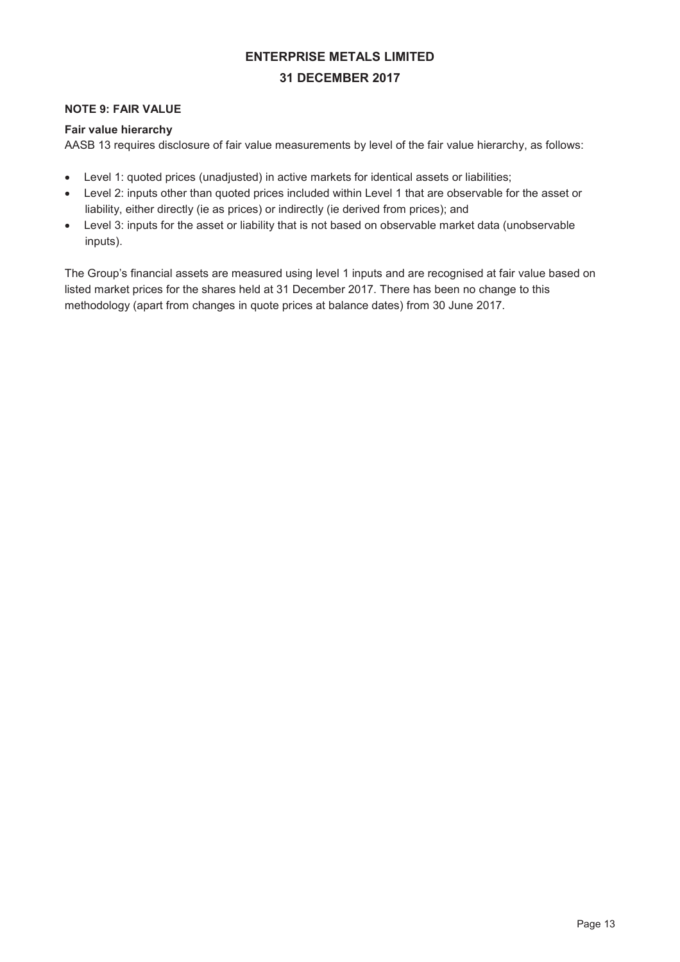# **ENTERPRISE METALS LIMITED 31 DECEMBER 2017**

#### **NOTE 9: FAIR VALUE**

#### **Fair value hierarchy**

AASB 13 requires disclosure of fair value measurements by level of the fair value hierarchy, as follows:

- Level 1: quoted prices (unadjusted) in active markets for identical assets or liabilities;
- Level 2: inputs other than quoted prices included within Level 1 that are observable for the asset or liability, either directly (ie as prices) or indirectly (ie derived from prices); and
- Level 3: inputs for the asset or liability that is not based on observable market data (unobservable inputs).

The Group's financial assets are measured using level 1 inputs and are recognised at fair value based on listed market prices for the shares held at 31 December 2017. There has been no change to this methodology (apart from changes in quote prices at balance dates) from 30 June 2017.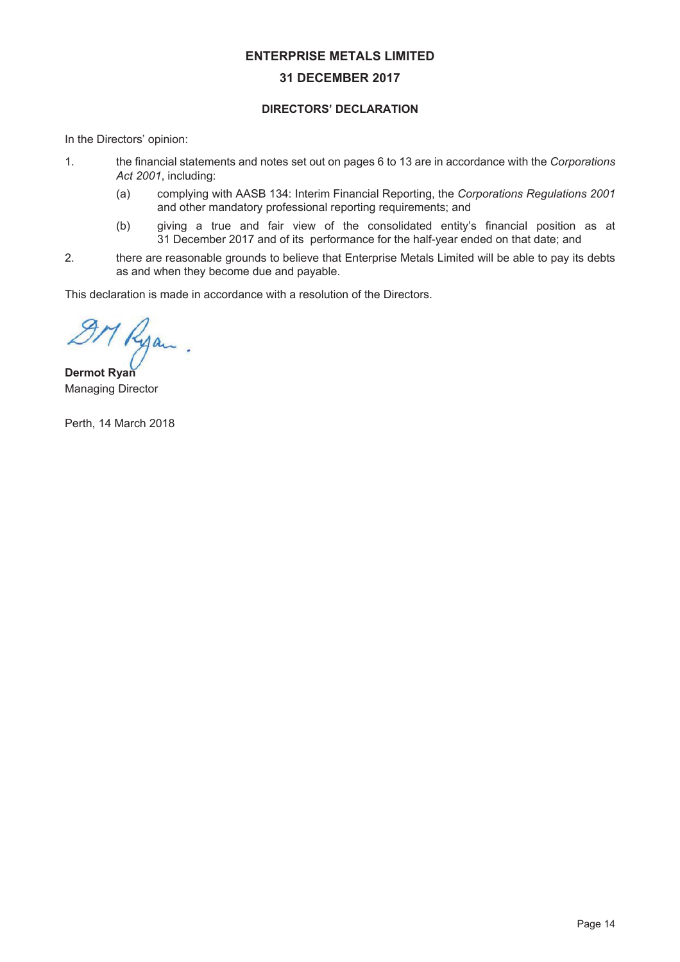#### **31 DECEMBER 2017**

#### DIRECTORS' DECLARATION

In the Directors' opinion:

- 1. the financial statements and notes set out on pages 6 to 13 are in accordance with the Corporations Act 2001, including:
	- (a) complying with AASB 134: Interim Financial Reporting, the Corporations Regulations 2001 and other mandatory professional reporting requirements; and
	- $(b)$  giving a true and fair view of the consolidated entity's financial position as at 31 December 2017 and of its performance for the half-year ended on that date; and
- 2. there are reasonable grounds to believe that Enterprise Metals Limited will be able to pay its debts as and when they become due and payable.

This declaration is made in accordance with a resolution of the Directors.

7 Ryan

**Dermot Ryan** Managing Director

Perth, 14 March 2018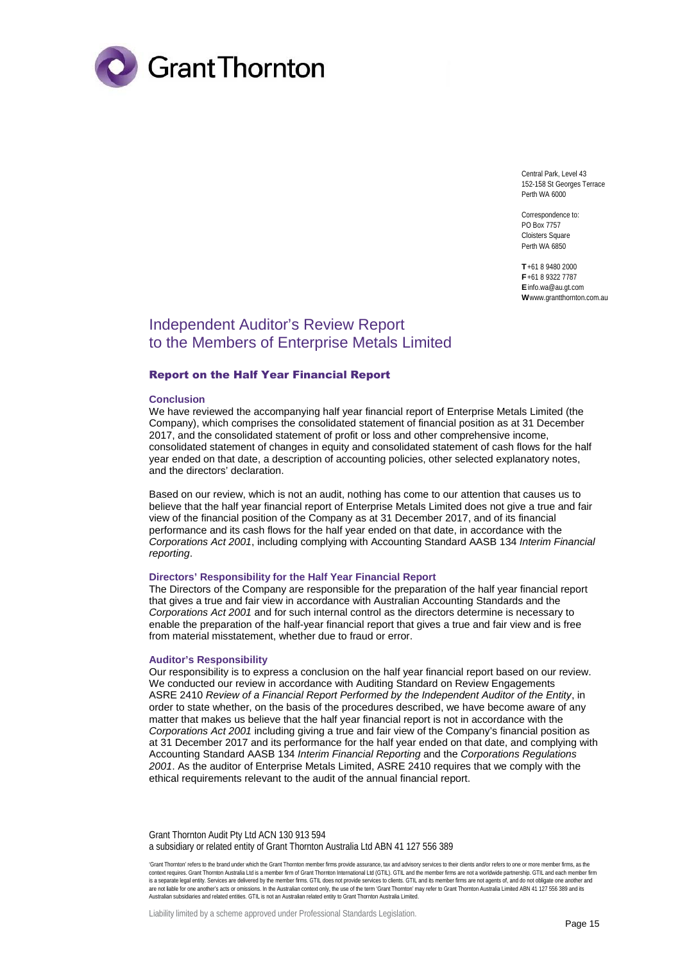

Central Park, Level 43 152-158 St Georges Terrace Perth WA 6000

Correspondence to: PO Box 7757 Cloisters Square Perth WA 6850

**T** +61 8 9480 2000 **F** +61 8 9322 7787 **E** info.wa@au.gt.com **W** www.grantthornton.com.au

### Independent Auditor's Review Report to the Members of Enterprise Metals Limited

#### Report on the Half Year Financial Report

#### **Conclusion**

We have reviewed the accompanying half year financial report of Enterprise Metals Limited (the Company), which comprises the consolidated statement of financial position as at 31 December 2017, and the consolidated statement of profit or loss and other comprehensive income, consolidated statement of changes in equity and consolidated statement of cash flows for the half year ended on that date, a description of accounting policies, other selected explanatory notes, and the directors' declaration.

Based on our review, which is not an audit, nothing has come to our attention that causes us to believe that the half year financial report of Enterprise Metals Limited does not give a true and fair view of the financial position of the Company as at 31 December 2017, and of its financial performance and its cash flows for the half year ended on that date, in accordance with the *Corporations Act 2001*, including complying with Accounting Standard AASB 134 *Interim Financial reporting*.

#### **Directors' Responsibility for the Half Year Financial Report**

The Directors of the Company are responsible for the preparation of the half year financial report that gives a true and fair view in accordance with Australian Accounting Standards and the *Corporations Act 2001* and for such internal control as the directors determine is necessary to enable the preparation of the half-year financial report that gives a true and fair view and is free from material misstatement, whether due to fraud or error.

#### **Auditor's Responsibility**

Our responsibility is to express a conclusion on the half year financial report based on our review. We conducted our review in accordance with Auditing Standard on Review Engagements ASRE 2410 *Review of a Financial Report Performed by the Independent Auditor of the Entity*, in order to state whether, on the basis of the procedures described, we have become aware of any matter that makes us believe that the half year financial report is not in accordance with the *Corporations Act 2001* including giving a true and fair view of the Company's financial position as at 31 December 2017 and its performance for the half year ended on that date, and complying with Accounting Standard AASB 134 *Interim Financial Reporting* and the *Corporations Regulations 2001*. As the auditor of Enterprise Metals Limited, ASRE 2410 requires that we comply with the ethical requirements relevant to the audit of the annual financial report.

Grant Thornton Audit Pty Ltd ACN 130 913 594 a subsidiary or related entity of Grant Thornton Australia Ltd ABN 41 127 556 389

'Grant Thornton' refers to the brand under which the Grant Thornton member firms provide assurance, tax and advisory services to their clients and/or refers to one or more member firms, as the<br>context requires. Grant Thorn is a separate legal entity. Services are delivered by the member firms. GTIL does not provide services to clients. GTIL and its member firms are not agents of, and do not obligate one another and<br>are not liable for one ano Australian subsidiaries and related entities. GTIL is not an Australian related entity to Grant Thornton Australia Limited.